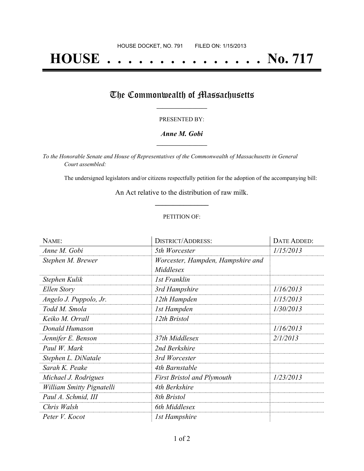# **HOUSE . . . . . . . . . . . . . . . No. 717**

## The Commonwealth of Massachusetts

#### PRESENTED BY:

#### *Anne M. Gobi* **\_\_\_\_\_\_\_\_\_\_\_\_\_\_\_\_\_**

*To the Honorable Senate and House of Representatives of the Commonwealth of Massachusetts in General Court assembled:*

The undersigned legislators and/or citizens respectfully petition for the adoption of the accompanying bill:

An Act relative to the distribution of raw milk. **\_\_\_\_\_\_\_\_\_\_\_\_\_\_\_**

#### PETITION OF:

| NAME:                     | <b>DISTRICT/ADDRESS:</b>                       | DATE ADDED: |
|---------------------------|------------------------------------------------|-------------|
| Anne M. Gobi              | 5th Worcester                                  | 1/15/2013   |
| Stephen M. Brewer         | Worcester, Hampden, Hampshire and<br>Middlesex |             |
| Stephen Kulik             | 1st Franklin                                   |             |
| Ellen Story               | 3rd Hampshire                                  | 1/16/2013   |
| Angelo J. Puppolo, Jr.    | 12th Hampden                                   | 1/15/2013   |
| Todd M. Smola             | 1st Hampden                                    | 1/30/2013   |
| Keiko M. Orrall           | 12th Bristol                                   |             |
| Donald Humason            |                                                | 1/16/2013   |
| Jennifer E. Benson        | 37th Middlesex                                 | 2/1/2013    |
| Paul W. Mark              | 2nd Berkshire                                  |             |
| Stephen L. DiNatale       | 3rd Worcester                                  |             |
| Sarah K. Peake            | 4th Barnstable                                 |             |
| Michael J. Rodrigues      | <b>First Bristol and Plymouth</b>              | 1/23/2013   |
| William Smitty Pignatelli | 4th Berkshire                                  |             |
| Paul A. Schmid, III       | 8th Bristol                                    |             |
| Chris Walsh               | 6th Middlesex                                  |             |
| Peter V. Kocot            | 1st Hampshire                                  |             |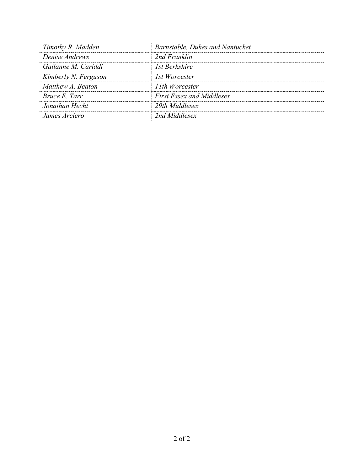| Timothy R. Madden    | Barnstable, Dukes and Nantucket  |  |
|----------------------|----------------------------------|--|
| Denise Andrews       | 2nd Franklin                     |  |
| Gailanne M. Cariddi  | 1st Berkshire                    |  |
| Kimberly N. Ferguson | 1st Worcester                    |  |
| Matthew A. Beaton    | 11th Worcester                   |  |
| Bruce E. Tarr        | <b>First Essex and Middlesex</b> |  |
| Jonathan Hecht       | 29th Middlesex                   |  |
| James Arciero        | 2nd Middlesex                    |  |
|                      |                                  |  |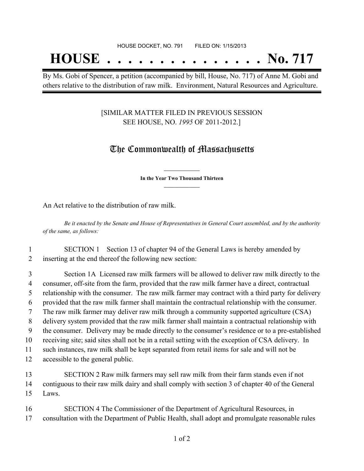## **HOUSE . . . . . . . . . . . . . . . No. 717**

By Ms. Gobi of Spencer, a petition (accompanied by bill, House, No. 717) of Anne M. Gobi and others relative to the distribution of raw milk. Environment, Natural Resources and Agriculture.

#### [SIMILAR MATTER FILED IN PREVIOUS SESSION SEE HOUSE, NO. *1995* OF 2011-2012.]

### The Commonwealth of Massachusetts

**\_\_\_\_\_\_\_\_\_\_\_\_\_\_\_ In the Year Two Thousand Thirteen \_\_\_\_\_\_\_\_\_\_\_\_\_\_\_**

An Act relative to the distribution of raw milk.

Be it enacted by the Senate and House of Representatives in General Court assembled, and by the authority *of the same, as follows:*

1 SECTION 1 Section 13 of chapter 94 of the General Laws is hereby amended by 2 inserting at the end thereof the following new section:

 Section 1A Licensed raw milk farmers will be allowed to deliver raw milk directly to the consumer, off-site from the farm, provided that the raw milk farmer have a direct, contractual relationship with the consumer. The raw milk farmer may contract with a third party for delivery provided that the raw milk farmer shall maintain the contractual relationship with the consumer. The raw milk farmer may deliver raw milk through a community supported agriculture (CSA) delivery system provided that the raw milk farmer shall maintain a contractual relationship with the consumer. Delivery may be made directly to the consumer's residence or to a pre-established receiving site; said sites shall not be in a retail setting with the exception of CSA delivery. In such instances, raw milk shall be kept separated from retail items for sale and will not be accessible to the general public.

13 SECTION 2 Raw milk farmers may sell raw milk from their farm stands even if not 14 contiguous to their raw milk dairy and shall comply with section 3 of chapter 40 of the General 15 Laws.

16 SECTION 4 The Commissioner of the Department of Agricultural Resources, in 17 consultation with the Department of Public Health, shall adopt and promulgate reasonable rules